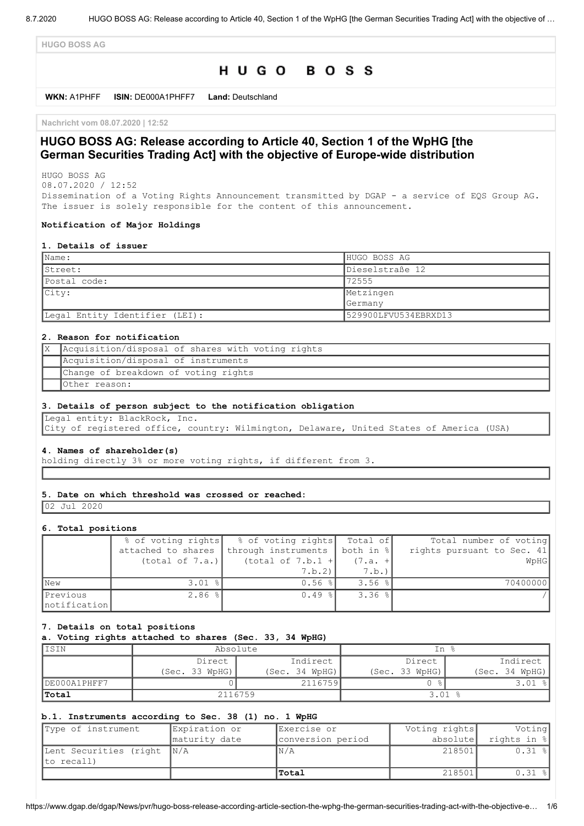**HUGO BOSS AG**

# HUGO BOSS

**WKN:** A1PHFF **ISIN:** DE000A1PHFF7 **Land:** Deutschland

**Nachricht vom 08.07.2020 | 12:52**

# **HUGO BOSS AG: Release according to Article 40, Section 1 of the WpHG [the German Securities Trading Act] with the objective of Europe-wide distribution**

HUGO BOSS AG 08.07.2020 / 12:52

Dissemination of a Voting Rights Announcement transmitted by DGAP - a service of EQS Group AG. The issuer is solely responsible for the content of this announcement.

### **Notification of Major Holdings**

#### **1. Details of issuer**

| Name:                          | HUGO BOSS AG         |
|--------------------------------|----------------------|
| Street:                        | Dieselstraße 12      |
| Postal code:                   | 72555                |
| $ $ City:                      | Metzingen            |
|                                | <b>Germany</b>       |
| Legal Entity Identifier (LEI): | 529900LFVU534EBRXD13 |

### **2. Reason for notification**

| X   Acquisition/disposal of shares with voting rights |
|-------------------------------------------------------|
| Acquisition/disposal of instruments                   |
| Change of breakdown of voting rights                  |
| Other reason:                                         |

#### **3. Details of person subject to the notification obligation**

Legal entity: BlackRock, Inc. City of registered office, country: Wilmington, Delaware, United States of America (USA)

#### **4. Names of shareholder(s)**

holding directly 3% or more voting rights, if different from 3.

#### **5. Date on which threshold was crossed or reached:**

02 Jul 2020

#### **6. Total positions**

|               | % of voting rights | % of voting rights Total of     |             | Total number of voting     |
|---------------|--------------------|---------------------------------|-------------|----------------------------|
|               | attached to shares | through instruments   both in % |             | rights pursuant to Sec. 41 |
|               | (total of 7.a.)    | $(total of 7.b.1 +$             | $(7.a. +$   | WpHG                       |
|               |                    | $7.b.2$ ]                       | 7.b.        |                            |
| <b>New</b>    | $3.01$ %           | $0.56$ $\frac{8}{1}$            | $3.56$ $\$$ | 70400000                   |
| Previous      | $2.86$ %           | $0.49$ %                        | $3.36$ %    |                            |
| Inotification |                    |                                 |             |                            |

### **7. Details on total positions**

**a. Voting rights attached to shares (Sec. 33, 34 WpHG)**

| IISIN        | Absolute       |                | In %           |                |
|--------------|----------------|----------------|----------------|----------------|
|              | Direct         | Indirect       | Direct         | Indirect       |
|              | (Sec. 33 WpHG) | (Sec. 34 WpHG) | (Sec. 33 WpHG) | (Sec. 34 WpHG) |
| DE000A1PHFF7 |                | 2116759        |                | $\frac{6}{10}$ |
| Total        | 2116759        |                | 3.01           |                |

## **b.1. Instruments according to Sec. 38 (1) no. 1 WpHG**

| Type of instrument                       | Expiration or | Exercise or       | Voting rights | Voting      |
|------------------------------------------|---------------|-------------------|---------------|-------------|
|                                          | maturity date | conversion period | absolute      | rights in % |
| Lent Securities (right N/A<br>to recall) |               | N/A               | 218501        | $0.31$ $8$  |
|                                          |               | Total             | 218501        | $0.31$ %    |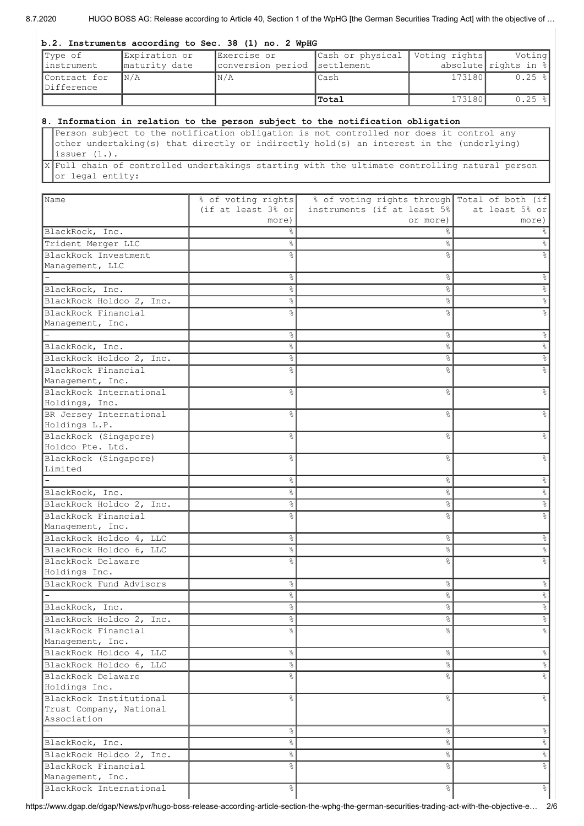8.7.2020 HUGO BOSS AG: Release according to Article 40, Section 1 of the WpHG [the German Securities Trading Act] with the objective of ...

#### **b.2. Instruments according to Sec. 38 (1) no. 2 WpHG**

| Type of                    | Expiration or           | Exercise or                  | Cash or physical   Voting rights |        | Voting                  |
|----------------------------|-------------------------|------------------------------|----------------------------------|--------|-------------------------|
| linstrument                | maturity date           | conversion period settlement |                                  |        | absolute rights in $  $ |
| Contract for<br>Difference | $\mathbb{N}/\mathbb{A}$ | IN/A                         | lCash                            | 173180 | $0.25$ $\frac{8}{1}$    |
|                            |                         |                              | <b>Total</b>                     | 173180 | $0.25$ $\frac{8}{1}$    |

# **8. Information in relation to the person subject to the notification obligation**

Person subject to the notification obligation is not controlled nor does it control any other undertaking(s) that directly or indirectly hold(s) an interest in the (underlying) issuer (1.).

X Full chain of controlled undertakings starting with the ultimate controlling natural person or legal entity:

| Name                     | % of voting rights             | % of voting rights through Total of both (if |                |
|--------------------------|--------------------------------|----------------------------------------------|----------------|
|                          | (if at least $3\frac{6}{5}$ or | instruments (if at least 5%                  | at least 5% or |
|                          | more)                          | or more)                                     | more)          |
| BlackRock, Inc.          |                                | ⊱                                            |                |
| Trident Merger LLC       | g.                             | &                                            |                |
| BlackRock Investment     | °                              | 응                                            |                |
| Management, LLC          |                                |                                              |                |
|                          | 옹                              | g.                                           | ⊱              |
| BlackRock, Inc.          | 옹                              | g.                                           | ⊱              |
| BlackRock Holdco 2, Inc. | g.                             | &                                            |                |
| BlackRock Financial      | g<br>8                         | g                                            |                |
| Management, Inc.         |                                |                                              |                |
|                          | ိင                             | နွ                                           |                |
| BlackRock, Inc.          | နွ                             | နွ                                           |                |
| BlackRock Holdco 2, Inc. | ိင                             | 응                                            |                |
| BlackRock Financial      | ٩,                             | g                                            |                |
| Management, Inc.         |                                |                                              |                |
| BlackRock International  | g <sub>o</sub>                 | &                                            |                |
| Holdings, Inc.           |                                |                                              |                |
| BR Jersey International  | g <sub>o</sub>                 | &                                            |                |
| Holdings L.P.            |                                |                                              |                |
| BlackRock (Singapore)    | g<br>8                         | 옹                                            |                |
| Holdco Pte. Ltd.         |                                |                                              |                |
| BlackRock (Singapore)    | ℅                              | ℅                                            |                |
| Limited                  |                                |                                              |                |
|                          | နွ                             | နွ                                           |                |
| BlackRock, Inc.          | g.                             | 옹                                            |                |
| BlackRock Holdco 2, Inc. | ိင                             | g.                                           |                |
| BlackRock Financial      |                                |                                              |                |
| Management, Inc.         |                                |                                              |                |
| BlackRock Holdco 4, LLC  | g.                             | &                                            |                |
| BlackRock Holdco 6, LLC  | g <sub>o</sub>                 | s,                                           |                |
| BlackRock Delaware       | $\approx$                      | 응                                            |                |
| Holdings Inc.            |                                |                                              |                |
| BlackRock Fund Advisors  | နွ                             | s,                                           | ⊱              |
|                          | g.                             | &                                            |                |
| BlackRock, Inc.          | နွ                             | s,                                           | g              |
| BlackRock Holdco 2, Inc. | g.                             | s,                                           | g.             |
| BlackRock Financial      | $\mathsf{Q}_\kappa$            | ۶ŕ                                           |                |
| Management, Inc.         |                                |                                              |                |
| BlackRock Holdco 4, LLC  | 옹                              | $\frac{1}{6}$                                |                |
| BlackRock Holdco 6, LLC  | $\frac{6}{3}$                  | $\frac{1}{6}$                                | 옹              |
| BlackRock Delaware       | g.                             | ⊱                                            |                |
| Holdings Inc.            |                                |                                              |                |
| BlackRock Institutional  | g.                             | 옹                                            |                |
| Trust Company, National  |                                |                                              |                |
| Association              |                                |                                              |                |
|                          | $\frac{6}{3}$                  | $\frac{1}{6}$                                | g.             |
| BlackRock, Inc.          | $\frac{6}{5}$                  | $\frac{1}{6}$                                | $\frac{8}{6}$  |
| BlackRock Holdco 2, Inc. | $\frac{6}{6}$                  | $\frac{1}{6}$                                | $\%$           |
| BlackRock Financial      | $\frac{6}{6}$                  | $\frac{8}{6}$                                | $\frac{6}{5}$  |
| Management, Inc.         |                                |                                              |                |
| BlackRock International  | 옹                              | $\frac{1}{6}$                                | $\frac{6}{6}$  |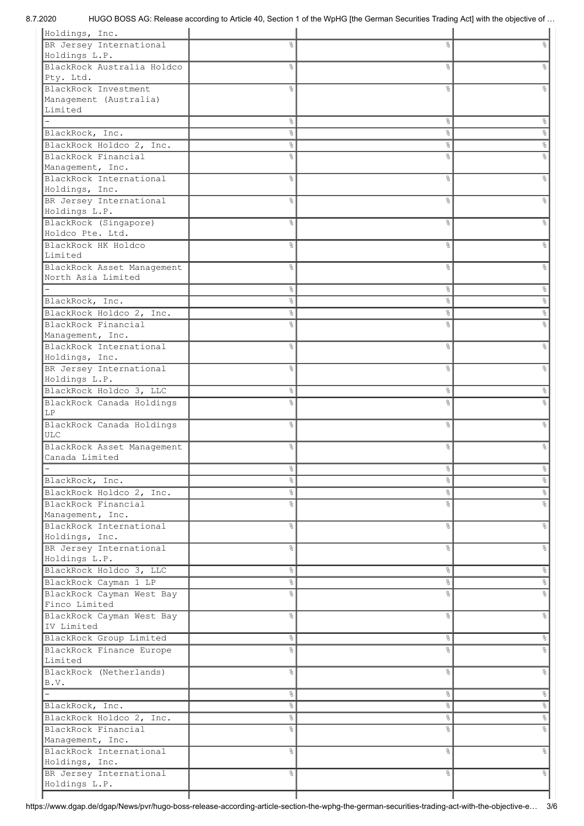| Holdings, Inc.             |                |                |                           |
|----------------------------|----------------|----------------|---------------------------|
| BR Jersey International    | 옹              | 옹              | g                         |
| Holdings L.P.              |                |                |                           |
| BlackRock Australia Holdco | g              | 옹              | g                         |
| Pty. Ltd.                  |                |                |                           |
| BlackRock Investment       | $\frac{9}{2}$  | ٥Ŗ             |                           |
| Management (Australia)     |                |                |                           |
| Limited                    |                |                |                           |
|                            | g.             | &              | န္                        |
| BlackRock, Inc.            | g.             | &              | s,                        |
| BlackRock Holdco 2, Inc.   | g.             | &              | °                         |
| BlackRock Financial        | $\frac{9}{2}$  | ٥Ŗ             | g                         |
| Management, Inc.           |                |                |                           |
| BlackRock International    | g <sub>o</sub> | ٥Ŗ             | g                         |
| Holdings, Inc.             |                |                |                           |
| BR Jersey International    | $\frac{6}{5}$  | ٥Ŗ             | ٥Ŗ                        |
| Holdings L.P.              |                |                |                           |
| BlackRock (Singapore)      | $\frac{6}{10}$ | ٥Ŗ             | ٥Ŗ                        |
| Holdco Pte. Ltd.           |                |                |                           |
| BlackRock HK Holdco        | $\frac{6}{10}$ | &              | ٥Ŗ                        |
| Limited                    |                |                |                           |
| BlackRock Asset Management | g <sub>o</sub> | 8              | g                         |
| North Asia Limited         |                |                |                           |
|                            | $\%$           | &              | &                         |
| BlackRock, Inc.            | $\%$           | &              | &                         |
| BlackRock Holdco 2, Inc.   | $\%$           | &              | °                         |
| BlackRock Financial        | $\frac{6}{5}$  | g              | e<br>8                    |
| Management, Inc.           |                |                |                           |
| BlackRock International    | $\frac{6}{6}$  | &              | e<br>8                    |
| Holdings, Inc.             |                |                |                           |
| BR Jersey International    | $\frac{6}{6}$  | &              | နွ                        |
| Holdings L.P.              |                |                |                           |
| BlackRock Holdco 3, LLC    | $\frac{6}{6}$  | °              | 옹                         |
| BlackRock Canada Holdings  | $\approx$      | ٥Ŗ             |                           |
| LP                         |                |                |                           |
| BlackRock Canada Holdings  | $\frac{6}{5}$  | 8              | g                         |
| <b>ULC</b>                 |                |                |                           |
| BlackRock Asset Management | $\frac{6}{5}$  | ٥Ŗ             | ٥Ŗ                        |
| Canada Limited             |                |                |                           |
|                            | $\frac{6}{2}$  | ⊱              |                           |
| BlackRock, Inc.            | $\frac{6}{5}$  | $\%$           | $\frac{1}{\sqrt{2}}$      |
| BlackRock Holdco 2, Inc.   | $\frac{6}{5}$  | $\frac{8}{6}$  | $\frac{1}{\sqrt{2}}$      |
| BlackRock Financial        | န္             | g.             | e,                        |
| Management, Inc.           |                |                |                           |
| BlackRock International    | $\frac{6}{6}$  | $\frac{8}{6}$  | $\frac{6}{6}$             |
| Holdings, Inc.             |                |                |                           |
| BR Jersey International    | $\frac{6}{10}$ | &              | $\frac{8}{6}$             |
| Holdings L.P.              |                |                |                           |
| BlackRock Holdco 3, LLC    | $\frac{6}{6}$  | $\frac{8}{6}$  | $\infty$                  |
| BlackRock Cayman 1 LP      | 옹              | g.             | $^{\circ}$                |
| BlackRock Cayman West Bay  | $\frac{6}{10}$ | o <sub>o</sub> | $\%$                      |
| Finco Limited              |                |                |                           |
| BlackRock Cayman West Bay  | $\approx$      | $\%$           | $\ensuremath{\mathsf{S}}$ |
| IV Limited                 |                |                |                           |
| BlackRock Group Limited    | $\frac{6}{5}$  | $\frac{1}{6}$  | $\frac{6}{5}$             |
| BlackRock Finance Europe   | $\frac{6}{6}$  | $\%$           | $\%$                      |
| Limited                    |                |                |                           |
| BlackRock (Netherlands)    | $\frac{6}{6}$  | &              | $\ensuremath{\mathsf{S}}$ |
| B.V.                       |                |                |                           |
|                            | $\frac{6}{5}$  | $\frac{8}{6}$  | $\infty$                  |
| BlackRock, Inc.            | $\frac{6}{5}$  | g.             | $^{\circ}$                |
| BlackRock Holdco 2, Inc.   | 옹              | $\%$           | $\frac{1}{\sqrt{2}}$      |
| BlackRock Financial        | $\frac{6}{6}$  | &              | $^{\circ}$                |
| Management, Inc.           |                |                |                           |
| BlackRock International    | န္             | &              | $\infty$                  |
| Holdings, Inc.             |                |                |                           |
| BR Jersey International    | $\%$           | $\frac{8}{6}$  | $\frac{6}{5}$             |
| Holdings L.P.              |                |                |                           |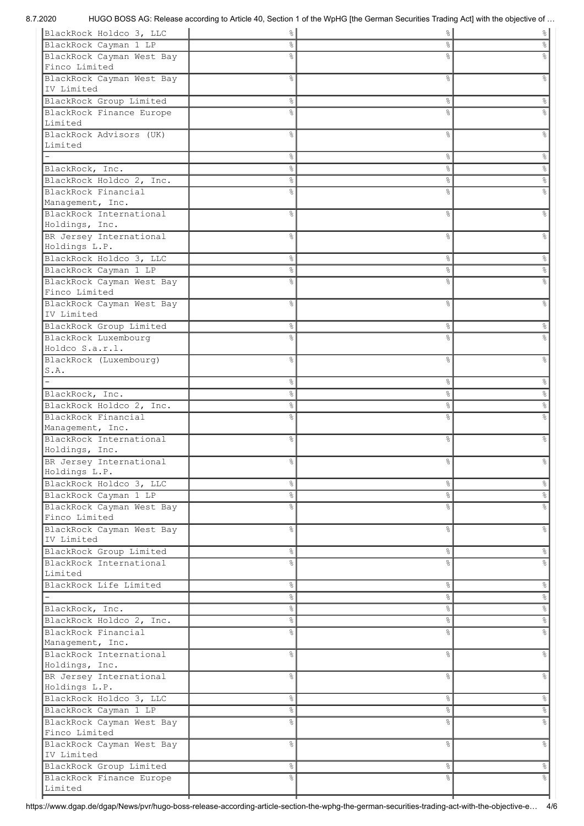8.7.2020 HUGO BOSS AG: Release according to Article 40, Section 1 of the WpHG [the German Securities Trading Act] with the objective of …

| BlackRock Holdco 3, LLC                     | $\frac{6}{6}$  | &              | $\frac{8}{6}$ |
|---------------------------------------------|----------------|----------------|---------------|
| BlackRock Cayman 1 LP                       | ိင             | နွ             |               |
| BlackRock Cayman West Bay                   | $\frac{6}{10}$ | ⊱              |               |
| Finco Limited                               |                |                |               |
| BlackRock Cayman West Bay                   | $\frac{6}{5}$  | $\%$           |               |
| IV Limited                                  |                |                |               |
| BlackRock Group Limited                     | န္             | $\%$           |               |
| BlackRock Finance Europe                    | $\frac{9}{2}$  | ℅              |               |
| Limited                                     |                |                |               |
| BlackRock Advisors (UK)                     | g<br>8         | &              |               |
| Limited                                     |                |                |               |
|                                             | 옹              | နွ             | ိ             |
| BlackRock, Inc.                             | 옹              | နွ             | &             |
| BlackRock Holdco 2, Inc.                    | 옹              | &              | $\%$          |
| BlackRock Financial                         | g<br>8         | 옹              |               |
| Management, Inc.<br>BlackRock International | $\frac{6}{6}$  |                |               |
| Holdings, Inc.                              |                | နွ             |               |
| BR Jersey International                     | $\frac{6}{6}$  | $\%$           |               |
| Holdings L.P.                               |                |                |               |
| BlackRock Holdco 3, LLC                     | 옹              | $\%$           | ိင            |
| BlackRock Cayman 1 LP                       | 옹              | &              | e<br>8        |
| BlackRock Cayman West Bay                   | g<br>8         | ℅              |               |
| Finco Limited                               |                |                |               |
| BlackRock Cayman West Bay                   | g <sub>o</sub> | 옹              |               |
| IV Limited                                  |                |                |               |
| BlackRock Group Limited                     | နွ             | နွ             |               |
| BlackRock Luxembourg                        | ٩,             |                |               |
| Holdco S.a.r.l.                             |                |                |               |
| BlackRock (Luxembourg)                      | $\frac{9}{2}$  | &              |               |
| S.A.                                        |                |                |               |
|                                             | 옹              | $\%$           | န္            |
| BlackRock, Inc.                             | g.             | &              | e<br>8        |
| BlackRock Holdco 2, Inc.                    | 옹              | နွ             | °             |
| BlackRock Financial                         | 옹              | ⊱              |               |
| Management, Inc.                            |                |                |               |
| BlackRock International                     | g<br>8         | နွ             |               |
| Holdings, Inc.                              |                |                |               |
| BR Jersey International                     | 옹              | နွ             |               |
| Holdings L.P.                               |                |                |               |
| BlackRock Holdco 3, LLC                     | g.             | $\%$           | နွ            |
| BlackRock Cayman 1 LP                       | နွ             | နွ             |               |
| BlackRock Cayman West Bay                   | 옹              | 옹              |               |
| Finco Limited                               |                |                |               |
| BlackRock Cayman West Bay                   | g<br>8         | &              | &             |
| IV Limited                                  |                |                |               |
| BlackRock Group Limited                     | 옹              | &              | g.            |
| BlackRock International<br>Limited          | g<br>8         | &              |               |
| BlackRock Life Limited                      | $\%$           | &              | %             |
|                                             | $\%$           | $\%$           | $\%$          |
| BlackRock, Inc.                             | 옹              | $\%$           | $\%$          |
| BlackRock Holdco 2, Inc.                    | 옹              | $\%$           | $\%$          |
| BlackRock Financial                         | $\frac{6}{5}$  | o <sub>o</sub> |               |
| Management, Inc.                            |                |                |               |
| BlackRock International                     | $\frac{6}{6}$  | $\%$           | e<br>8        |
| Holdings, Inc.                              |                |                |               |
| BR Jersey International                     | g<br>8         | &              | e<br>8        |
| Holdings L.P.                               |                |                |               |
| BlackRock Holdco 3, LLC                     | 옹              | &              | 응             |
| BlackRock Cayman 1 LP                       | 옹              | &              | %             |
| BlackRock Cayman West Bay                   | g<br>8         | 옹              |               |
| Finco Limited                               |                |                |               |
| BlackRock Cayman West Bay                   | $\frac{6}{6}$  | &              | 응             |
| IV Limited                                  |                |                |               |
| BlackRock Group Limited                     | 옹              | နွ             | %             |
| BlackRock Finance Europe                    | g<br>8         | &              |               |
| Limited                                     |                |                |               |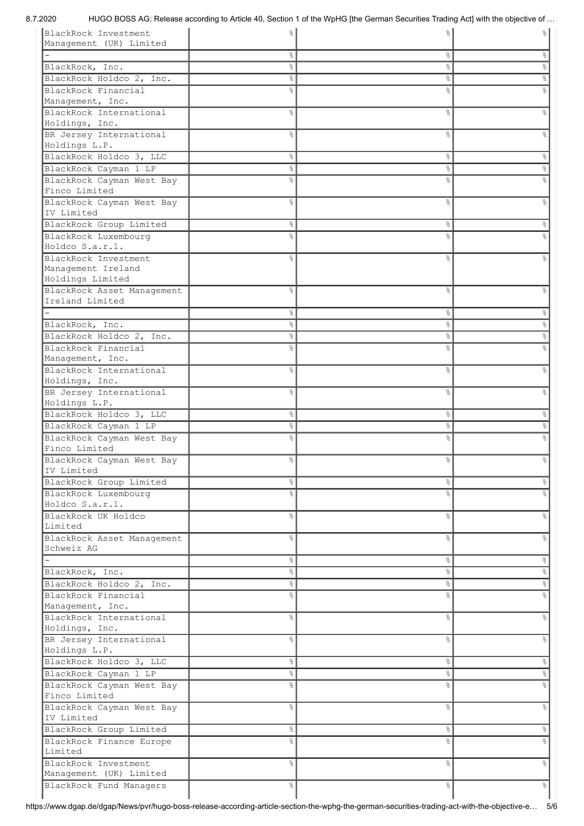8.7.2020 HUGO BOSS AG: Release according to Article 40, Section 1 of the WpHG [the German Securities Trading Act] with the objective of …

| BlackRock Investment<br>Management (UK) Limited |                | g              | ℅              |
|-------------------------------------------------|----------------|----------------|----------------|
|                                                 | န္             | နွ             |                |
| BlackRock, Inc.                                 | g.             | o <sub>o</sub> |                |
| BlackRock Holdco 2, Inc.                        | g.             | နွ             | &              |
| BlackRock Financial                             | $\frac{6}{10}$ | ٥Ŗ             |                |
| Management, Inc.                                |                |                |                |
| BlackRock International                         | $\frac{6}{10}$ | o <sub>o</sub> | $\frac{6}{5}$  |
| Holdings, Inc.                                  |                |                |                |
| BR Jersey International                         | g <sub>o</sub> | &              | g              |
| Holdings L.P.                                   |                |                |                |
| BlackRock Holdco 3, LLC                         | 옹              | နွ             | &              |
| BlackRock Cayman 1 LP                           | 옹              | &              | $\%$           |
| BlackRock Cayman West Bay                       | g <sub>o</sub> | &              | g              |
| Finco Limited                                   |                |                |                |
| BlackRock Cayman West Bay                       | $\frac{6}{6}$  | &              | &              |
| IV Limited                                      |                |                |                |
| BlackRock Group Limited                         | န္             | နွ             | &              |
| BlackRock Luxembourg                            | $\frac{9}{2}$  | ٥Ŗ             |                |
| Holdco S.a.r.l.                                 |                |                |                |
| BlackRock Investment<br>Management Ireland      | g <sub>o</sub> | &              |                |
| Holdings Limited                                |                |                |                |
| BlackRock Asset Management                      | $\frac{6}{5}$  | o <sub>o</sub> |                |
| Ireland Limited                                 |                |                |                |
|                                                 | န္             | နွ             | &              |
| BlackRock, Inc.                                 | န္             | &              | $\%$           |
| BlackRock Holdco 2, Inc.                        | $\%$           | နွ             | $\%$           |
| BlackRock Financial                             | $\frac{9}{2}$  | ٥Ŗ             |                |
| Management, Inc.                                |                |                |                |
| BlackRock International                         | g<br>8         | နွ             | $\frac{6}{10}$ |
| Holdings, Inc.                                  |                |                |                |
| BR Jersey International                         | g<br>8         | နွ             | 옹              |
| Holdings L.P.                                   |                |                |                |
| BlackRock Holdco 3, LLC                         | န္             | နွ             | နွ             |
| BlackRock Cayman 1 LP                           | $\%$           | &              |                |
| BlackRock Cayman West Bay                       | g <sub>o</sub> | နွ             |                |
| Finco Limited                                   |                |                |                |
| BlackRock Cayman West Bay                       | နွ             | နွ             | နွ             |
| IV Limited                                      |                |                |                |
| BlackRock Group Limited                         | 옹              | နွ             | န္             |
| BlackRock Luxembourg<br>Holdco S.a.r.l.         | $\frac{6}{6}$  | o <sub>o</sub> |                |
|                                                 |                |                |                |
| BlackRock UK Holdco<br>Limited                  | g<br>8         | &              | &              |
| BlackRock Asset Management                      | $\frac{6}{6}$  | o <sub>o</sub> | &              |
| Schweiz AG                                      |                |                |                |
|                                                 | $\%$           | နွ             | $\%$           |
| BlackRock, Inc.                                 | နွ             | နွ             | $\%$           |
| BlackRock Holdco 2, Inc.                        | 옹              | &              | $\%$           |
| BlackRock Financial                             | g<br>8         | &              |                |
| Management, Inc.                                |                |                |                |
| BlackRock International                         | g.             | နွ             | o,             |
| Holdings, Inc.                                  |                |                |                |
| BR Jersey International                         | g<br>8         | နွ             | နွ             |
| Holdings L.P.                                   |                |                |                |
| BlackRock Holdco 3, LLC                         | 옹              | နွ             | $\%$           |
| BlackRock Cayman 1 LP                           | 옹              | &              | $\%$           |
| BlackRock Cayman West Bay                       | $\frac{6}{5}$  | g<br>6         | g<br>8         |
| Finco Limited                                   |                |                |                |
| BlackRock Cayman West Bay                       | $\frac{6}{6}$  | o <sub>o</sub> | $\%$           |
| IV Limited                                      |                |                |                |
| BlackRock Group Limited                         | 옹              | နွ             | $\epsilon$     |
| BlackRock Finance Europe                        | g<br>8         | &              |                |
| Limited                                         |                |                |                |
| BlackRock Investment<br>Management (UK) Limited | 옹              | နွ             | &              |
| BlackRock Fund Managers                         | နွ             | နွ             | °              |
|                                                 |                |                |                |